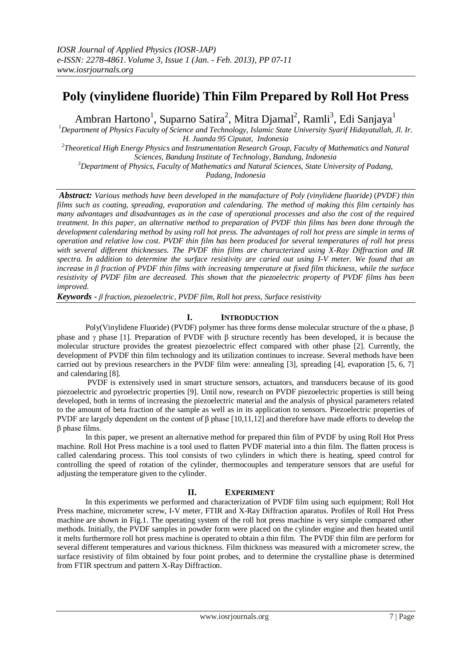# **Poly (vinylidene fluoride) Thin Film Prepared by Roll Hot Press**

Ambran Hartono<sup>1</sup>, Suparno Satira<sup>2</sup>, Mitra Djamal<sup>2</sup>, Ramli<sup>3</sup>, Edi Sanjaya<sup>1</sup>

*<sup>1</sup>Department of Physics Faculty of Science and Technology, Islamic State University Syarif Hidayatullah, Jl. Ir. H. Juanda 95 Ciputat, Indonesia*

*2 Theoretical High Energy Physics and Instrumentation Research Group, Faculty of Mathematics and Natural Sciences, Bandung Institute of Technology, Bandung, Indonesia* 

*<sup>3</sup>Department of Physics, Faculty of Mathematics and Natural Sciences, State University of Padang, Padang, Indonesia*

*Abstract: Various methods have been developed in the manufacture of Poly (vinylidene fluoride)* (*PVDF) thin films such as coating, spreading, evaporation and calendaring. The method of making this film certainly has many advantages and disadvantages as in the case of operational processes and also the cost of the required treatment. In this paper, an alternative method to preparation of PVDF thin films has been done through the development calendaring method by using roll hot press. The advantages of roll hot press are simple in terms of operation and relative low cost. PVDF thin film has been produced for several temperatures of roll hot press with several different thicknesses. The PVDF thin films are characterized using X-Ray Diffraction and IR spectra. In addition to determine the surface resistivity are caried out using I-V meter. We found that an increase in β fraction of PVDF thin films with increasing temperature at fixed film thickness, while the surface resistivity of PVDF film are decreased. This shown that the piezoelectric property of PVDF films has been improved.*

*Keywords - β fraction, piezoelectric, PVDF film, Roll hot press, Surface resistivity*

# **I. INTRODUCTION**

Poly(Vinylidene Fluoride) (PVDF) polymer has three forms dense molecular structure of the  $\alpha$  phase,  $\beta$ phase and  $\gamma$  phase [1]. Preparation of PVDF with  $\beta$  structure recently has been developed, it is because the molecular structure provides the greatest piezoelectric effect compared with other phase [2]. Currently, the development of PVDF thin film technology and its utilization continues to increase. Several methods have been carried out by previous researchers in the PVDF film were: annealing [3], spreading [4], evaporation [5, 6, 7] and calendaring [8].

PVDF is extensively used in smart structure sensors, actuators, and transducers because of its good piezoelectric and pyroelectric properties [9]. Until now, research on PVDF piezoelectric properties is still being developed, both in terms of increasing the piezoelectric material and the analysis of physical parameters related to the amount of beta fraction of the sample as well as in its application to sensors. Piezoelectric properties of PVDF are largely dependent on the content of β phase [10,11,12] and therefore have made efforts to develop the β phase films.

In this paper, we present an alternative method for prepared thin film of PVDF by using Roll Hot Press machine. Roll Hot Press machine is a tool used to flatten PVDF material into a thin film. The flatten process is called calendaring process. This tool consists of two cylinders in which there is heating, speed control for controlling the speed of rotation of the cylinder, thermocouples and temperature sensors that are useful for adjusting the temperature given to the cylinder.

# **II. EXPERIMENT**

In this experiments we performed and characterization of PVDF film using such equipment; Roll Hot Press machine, micrometer screw, I-V meter, FTIR and X-Ray Diffraction aparatus. Profiles of Roll Hot Press machine are shown in Fig.1. The operating system of the roll hot press machine is very simple compared other methods. Initially, the PVDF samples in powder form were placed on the cylinder engine and then heated until it melts furthermore roll hot press machine is operated to obtain a thin film. The PVDF thin film are perform for several different temperatures and various thickness. Film thickness was measured with a micrometer screw, the surface resistivity of film obtained by four point probes, and to determine the crystalline phase is determined from FTIR spectrum and pattern X-Ray Diffraction.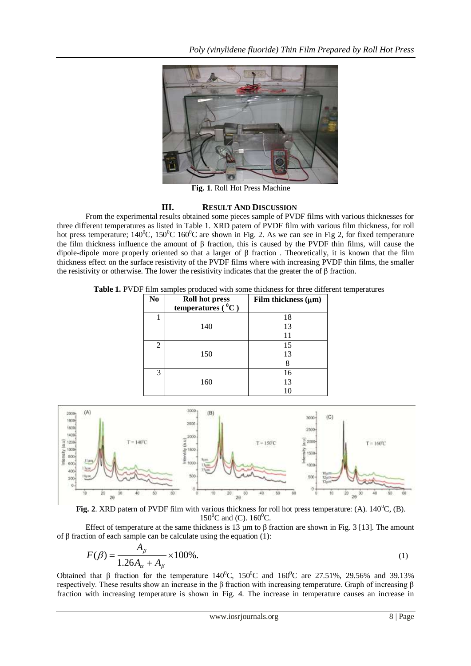

**Fig. 1**. Roll Hot Press Machine

## **III. RESULT AND DISCUSSION**

From the experimental results obtained some pieces sample of PVDF films with various thicknesses for three different temperatures as listed in Table 1. XRD patern of PVDF film with various film thickness, for roll hot press temperature;  $140^{\circ}$ C,  $150^{\circ}$ C  $160^{\circ}$ C are shown in Fig. 2. As we can see in Fig 2, for fixed temperature the film thickness influence the amount of  $\beta$  fraction, this is caused by the PVDF thin films, will cause the dipole-dipole more properly oriented so that a larger of β fraction . Theoretically, it is known that the film thickness effect on the surface resistivity of the PVDF films where with increasing PVDF thin films, the smaller the resistivity or otherwise. The lower the resistivity indicates that the greater the of  $\beta$  fraction.

**Table 1.** PVDF film samples produced with some thickness for three different temperatures

| N <sub>0</sub> | <b>Roll hot press</b><br>temperatures $(^0C)$ | Film thickness $(\mu m)$ |
|----------------|-----------------------------------------------|--------------------------|
| 1              |                                               | 18                       |
|                | 140                                           | 13                       |
|                |                                               | 11                       |
| 2              |                                               | 15                       |
|                | 150                                           | 13                       |
|                |                                               | 8                        |
| 3              |                                               | 16                       |
|                | 160                                           | 13                       |
|                |                                               | 10                       |



**Fig. 2**. XRD patern of PVDF film with various thickness for roll hot press temperature: (A).  $140^{\circ}$ C, (B).  $150^0C$  and (C).  $160^0C$ .

Effect of temperature at the same thickness is 13  $\mu$ m to β fraction are shown in Fig. 3 [13]. The amount of β fraction of each sample can be calculate using the equation (1):

$$
F(\beta) = \frac{A_{\beta}}{1.26A_{\alpha} + A_{\beta}} \times 100\%.
$$
 (1)

Obtained that β fraction for the temperature  $140^{\circ}$ C,  $150^{\circ}$ C and  $160^{\circ}$ C are 27.51%, 29.56% and 39.13% respectively. These results show an increase in the β fraction with increasing temperature. Graph of increasing β fraction with increasing temperature is shown in Fig. 4. The increase in temperature causes an increase in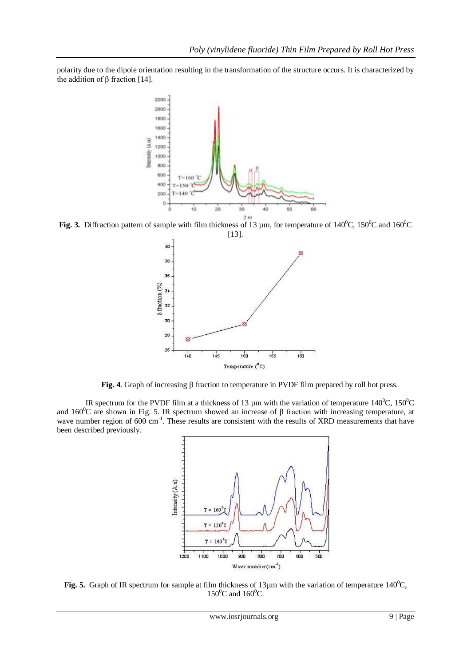polarity due to the dipole orientation resulting in the transformation of the structure occurs. It is characterized by the addition of β fraction [14].



**Fig. 3.** Diffraction pattern of sample with film thickness of 13 µm, for temperature of 140<sup>0</sup>C, 150<sup>0</sup>C and 160<sup>0</sup>C



Fig. 4. Graph of increasing  $\beta$  fraction to temperature in PVDF film prepared by roll hot press.

IR spectrum for the PVDF film at a thickness of 13  $\mu$ m with the variation of temperature 140<sup>o</sup>C, 150<sup>o</sup>C and 160<sup>0</sup>C are shown in Fig. 5. IR spectrum showed an increase of β fraction with increasing temperature, at wave number region of 600 cm<sup>-1</sup>. These results are consistent with the results of XRD measurements that have been described previously.



**Fig. 5.** Graph of IR spectrum for sample at film thickness of 13 $\mu$ m with the variation of temperature 140<sup>0</sup>C,  $150^0C$  and  $160^0C$ .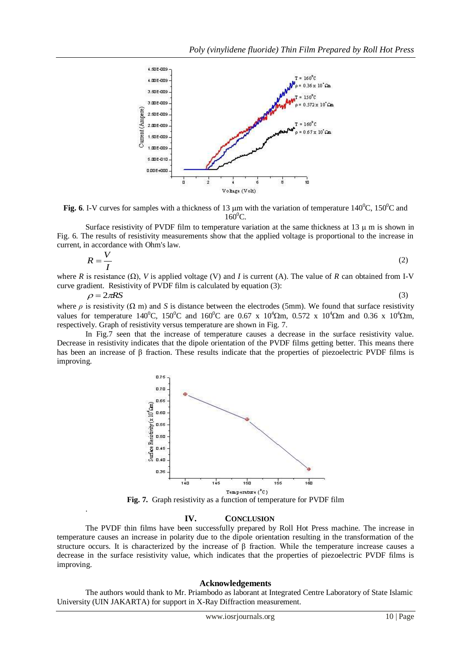

**Fig.** 6. I-V curves for samples with a thickness of 13  $\mu$ m with the variation of temperature 140<sup>0</sup>C, 150<sup>0</sup>C and  $160^0C$ .

Surface resistivity of PVDF film to temperature variation at the same thickness at 13  $\mu$  m is shown in Fig. 6. The results of resistivity measurements show that the applied voltage is proportional to the increase in current, in accordance with Ohm's law.

$$
R = \frac{V}{I}
$$
 (2)

where *R* is resistance  $(\Omega)$ , *V* is applied voltage (V) and *I* is current (A). The value of *R* can obtained from I-V curve gradient. Resistivity of PVDF film is calculated by equation (3):

 $\rho = 2\pi RS$ (3)

where  $\rho$  is resistivity ( $\Omega$  m) and *S* is distance between the electrodes (5mm). We found that surface resistivity values for temperature 140<sup>0</sup>C, 150<sup>0</sup>C and 160<sup>0</sup>C are 0.67 x 10<sup>4</sup>Qm, 0.572 x 10<sup>4</sup>Qm and 0.36 x 10<sup>4</sup>Qm, respectively. Graph of resistivity versus temperature are shown in Fig. 7.

In Fig.7 seen that the increase of temperature causes a decrease in the surface resistivity value. Decrease in resistivity indicates that the dipole orientation of the PVDF films getting better. This means there has been an increase of β fraction. These results indicate that the properties of piezoelectric PVDF films is improving.



**Fig. 7.** Graph resistivity as a function of temperature for PVDF film

## **IV. CONCLUSION**

.

The PVDF thin films have been successfully prepared by Roll Hot Press machine. The increase in temperature causes an increase in polarity due to the dipole orientation resulting in the transformation of the structure occurs. It is characterized by the increase of β fraction. While the temperature increase causes a decrease in the surface resistivity value, which indicates that the properties of piezoelectric PVDF films is improving.

### **Acknowledgements**

The authors would thank to Mr. Priambodo as laborant at Integrated Centre Laboratory of State Islamic University (UIN JAKARTA) for support in X-Ray Diffraction measurement.